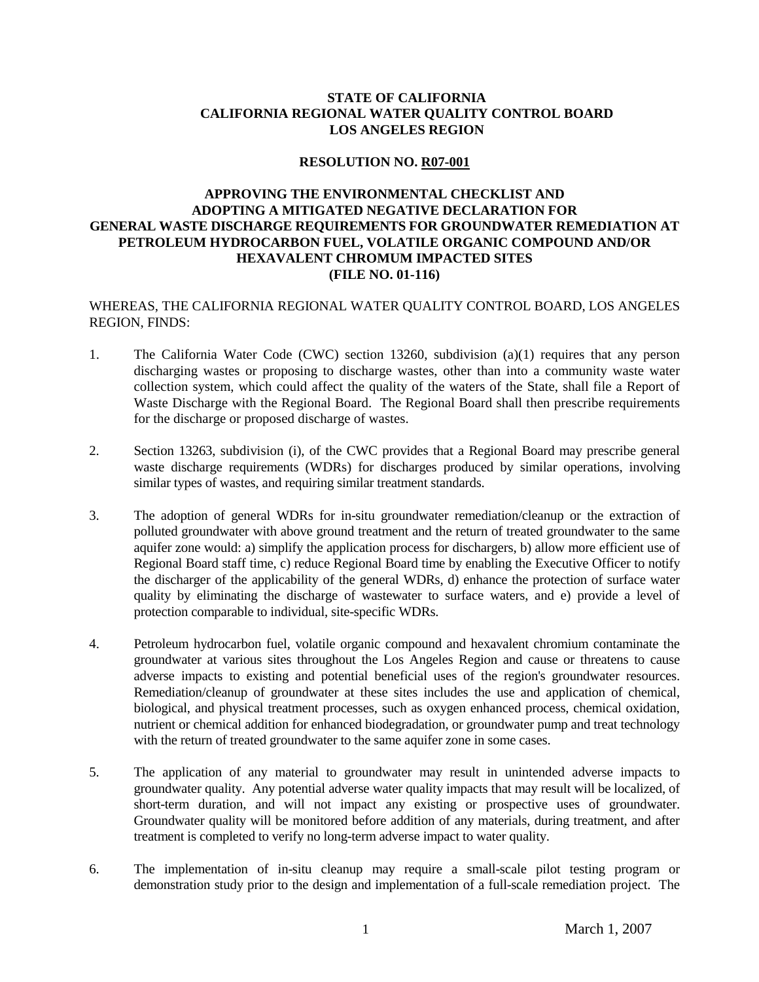# **STATE OF CALIFORNIA CALIFORNIA REGIONAL WATER QUALITY CONTROL BOARD LOS ANGELES REGION**

#### **RESOLUTION NO. R07-001**

# **APPROVING THE ENVIRONMENTAL CHECKLIST AND ADOPTING A MITIGATED NEGATIVE DECLARATION FOR GENERAL WASTE DISCHARGE REQUIREMENTS FOR GROUNDWATER REMEDIATION AT PETROLEUM HYDROCARBON FUEL, VOLATILE ORGANIC COMPOUND AND/OR HEXAVALENT CHROMUM IMPACTED SITES (FILE NO. 01-116)**

WHEREAS, THE CALIFORNIA REGIONAL WATER QUALITY CONTROL BOARD, LOS ANGELES REGION, FINDS:

- 1. The California Water Code (CWC) section 13260, subdivision (a)(1) requires that any person discharging wastes or proposing to discharge wastes, other than into a community waste water collection system, which could affect the quality of the waters of the State, shall file a Report of Waste Discharge with the Regional Board. The Regional Board shall then prescribe requirements for the discharge or proposed discharge of wastes.
- 2. Section 13263, subdivision (i), of the CWC provides that a Regional Board may prescribe general waste discharge requirements (WDRs) for discharges produced by similar operations, involving similar types of wastes, and requiring similar treatment standards.
- 3. The adoption of general WDRs for in-situ groundwater remediation/cleanup or the extraction of polluted groundwater with above ground treatment and the return of treated groundwater to the same aquifer zone would: a) simplify the application process for dischargers, b) allow more efficient use of Regional Board staff time, c) reduce Regional Board time by enabling the Executive Officer to notify the discharger of the applicability of the general WDRs, d) enhance the protection of surface water quality by eliminating the discharge of wastewater to surface waters, and e) provide a level of protection comparable to individual, site-specific WDRs.
- 4. Petroleum hydrocarbon fuel, volatile organic compound and hexavalent chromium contaminate the groundwater at various sites throughout the Los Angeles Region and cause or threatens to cause adverse impacts to existing and potential beneficial uses of the region's groundwater resources. Remediation/cleanup of groundwater at these sites includes the use and application of chemical, biological, and physical treatment processes, such as oxygen enhanced process, chemical oxidation, nutrient or chemical addition for enhanced biodegradation, or groundwater pump and treat technology with the return of treated groundwater to the same aquifer zone in some cases.
- 5. The application of any material to groundwater may result in unintended adverse impacts to groundwater quality. Any potential adverse water quality impacts that may result will be localized, of short-term duration, and will not impact any existing or prospective uses of groundwater. Groundwater quality will be monitored before addition of any materials, during treatment, and after treatment is completed to verify no long-term adverse impact to water quality.
- 6. The implementation of in-situ cleanup may require a small-scale pilot testing program or demonstration study prior to the design and implementation of a full-scale remediation project. The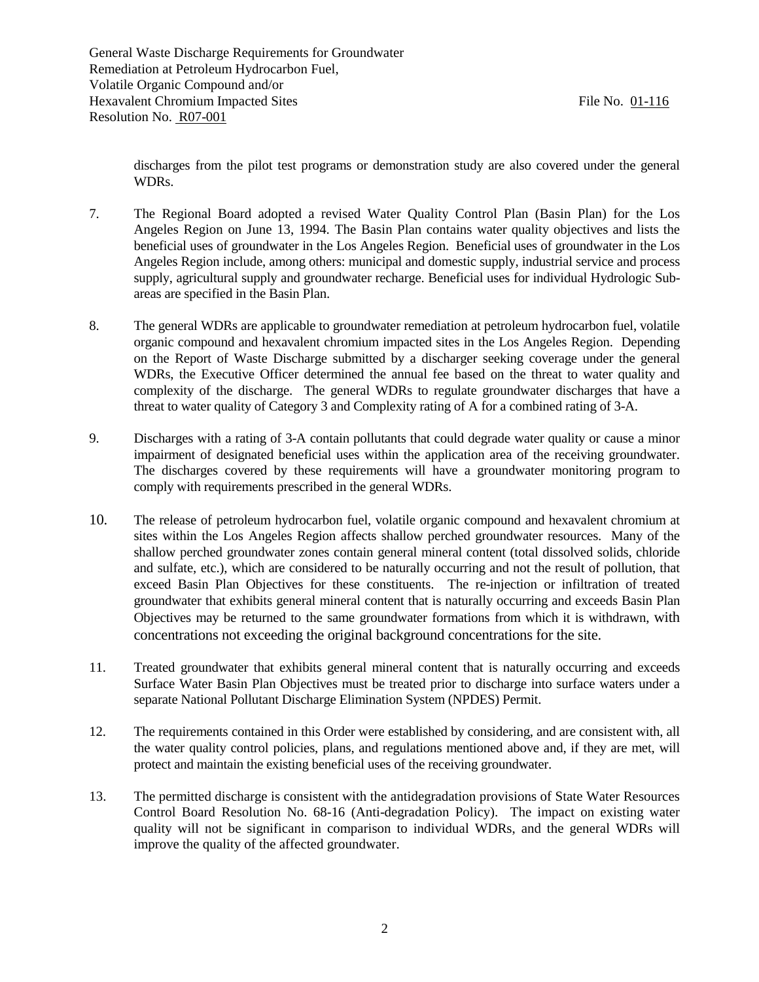discharges from the pilot test programs or demonstration study are also covered under the general WDRs.

- 7. The Regional Board adopted a revised Water Quality Control Plan (Basin Plan) for the Los Angeles Region on June 13, 1994. The Basin Plan contains water quality objectives and lists the beneficial uses of groundwater in the Los Angeles Region. Beneficial uses of groundwater in the Los Angeles Region include, among others: municipal and domestic supply, industrial service and process supply, agricultural supply and groundwater recharge. Beneficial uses for individual Hydrologic Subareas are specified in the Basin Plan.
- 8. The general WDRs are applicable to groundwater remediation at petroleum hydrocarbon fuel, volatile organic compound and hexavalent chromium impacted sites in the Los Angeles Region. Depending on the Report of Waste Discharge submitted by a discharger seeking coverage under the general WDRs, the Executive Officer determined the annual fee based on the threat to water quality and complexity of the discharge. The general WDRs to regulate groundwater discharges that have a threat to water quality of Category 3 and Complexity rating of A for a combined rating of 3-A.
- 9. Discharges with a rating of 3-A contain pollutants that could degrade water quality or cause a minor impairment of designated beneficial uses within the application area of the receiving groundwater. The discharges covered by these requirements will have a groundwater monitoring program to comply with requirements prescribed in the general WDRs.
- 10. The release of petroleum hydrocarbon fuel, volatile organic compound and hexavalent chromium at sites within the Los Angeles Region affects shallow perched groundwater resources. Many of the shallow perched groundwater zones contain general mineral content (total dissolved solids, chloride and sulfate, etc.), which are considered to be naturally occurring and not the result of pollution, that exceed Basin Plan Objectives for these constituents. The re-injection or infiltration of treated groundwater that exhibits general mineral content that is naturally occurring and exceeds Basin Plan Objectives may be returned to the same groundwater formations from which it is withdrawn, with concentrations not exceeding the original background concentrations for the site.
- 11. Treated groundwater that exhibits general mineral content that is naturally occurring and exceeds Surface Water Basin Plan Objectives must be treated prior to discharge into surface waters under a separate National Pollutant Discharge Elimination System (NPDES) Permit.
- 12. The requirements contained in this Order were established by considering, and are consistent with, all the water quality control policies, plans, and regulations mentioned above and, if they are met, will protect and maintain the existing beneficial uses of the receiving groundwater.
- 13. The permitted discharge is consistent with the antidegradation provisions of State Water Resources Control Board Resolution No. 68-16 (Anti-degradation Policy). The impact on existing water quality will not be significant in comparison to individual WDRs, and the general WDRs will improve the quality of the affected groundwater.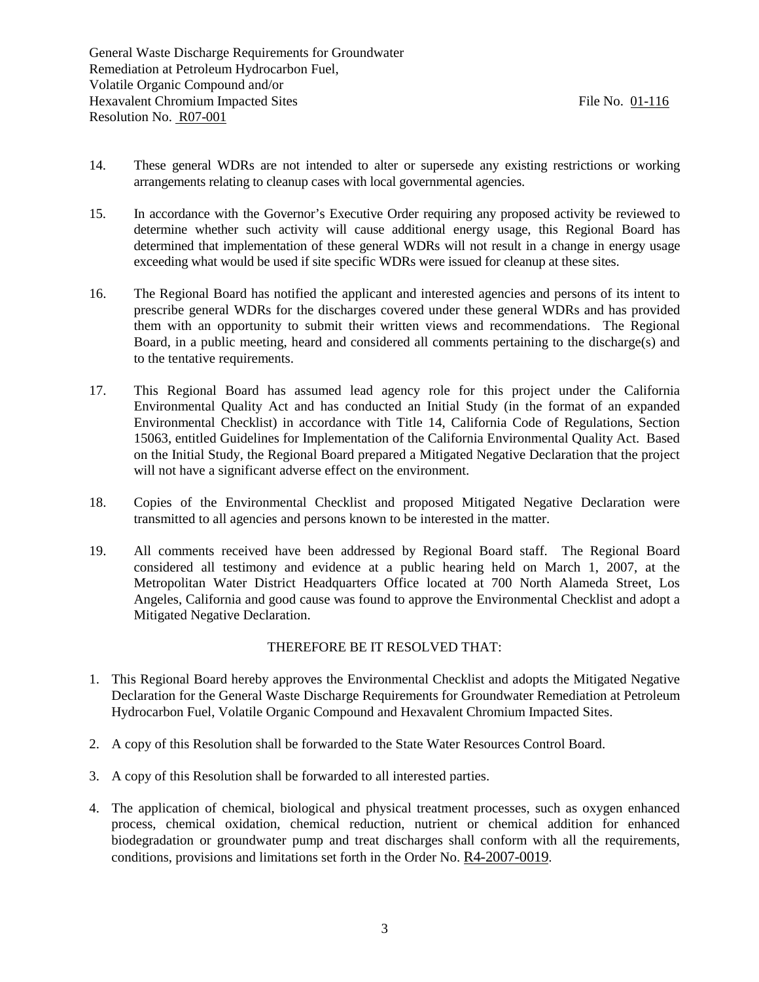- 14. These general WDRs are not intended to alter or supersede any existing restrictions or working arrangements relating to cleanup cases with local governmental agencies.
- 15. In accordance with the Governor's Executive Order requiring any proposed activity be reviewed to determine whether such activity will cause additional energy usage, this Regional Board has determined that implementation of these general WDRs will not result in a change in energy usage exceeding what would be used if site specific WDRs were issued for cleanup at these sites.
- 16. The Regional Board has notified the applicant and interested agencies and persons of its intent to prescribe general WDRs for the discharges covered under these general WDRs and has provided them with an opportunity to submit their written views and recommendations. The Regional Board, in a public meeting, heard and considered all comments pertaining to the discharge(s) and to the tentative requirements.
- 17. This Regional Board has assumed lead agency role for this project under the California Environmental Quality Act and has conducted an Initial Study (in the format of an expanded Environmental Checklist) in accordance with Title 14, California Code of Regulations, Section 15063, entitled Guidelines for Implementation of the California Environmental Quality Act. Based on the Initial Study, the Regional Board prepared a Mitigated Negative Declaration that the project will not have a significant adverse effect on the environment.
- 18. Copies of the Environmental Checklist and proposed Mitigated Negative Declaration were transmitted to all agencies and persons known to be interested in the matter.
- 19. All comments received have been addressed by Regional Board staff. The Regional Board considered all testimony and evidence at a public hearing held on March 1, 2007, at the Metropolitan Water District Headquarters Office located at 700 North Alameda Street, Los Angeles, California and good cause was found to approve the Environmental Checklist and adopt a Mitigated Negative Declaration.

### THEREFORE BE IT RESOLVED THAT:

- 1. This Regional Board hereby approves the Environmental Checklist and adopts the Mitigated Negative Declaration for the General Waste Discharge Requirements for Groundwater Remediation at Petroleum Hydrocarbon Fuel, Volatile Organic Compound and Hexavalent Chromium Impacted Sites.
- 2. A copy of this Resolution shall be forwarded to the State Water Resources Control Board.
- 3. A copy of this Resolution shall be forwarded to all interested parties.
- 4. The application of chemical, biological and physical treatment processes, such as oxygen enhanced process, chemical oxidation, chemical reduction, nutrient or chemical addition for enhanced biodegradation or groundwater pump and treat discharges shall conform with all the requirements, conditions, provisions and limitations set forth in the Order No. R4-2007-0019.